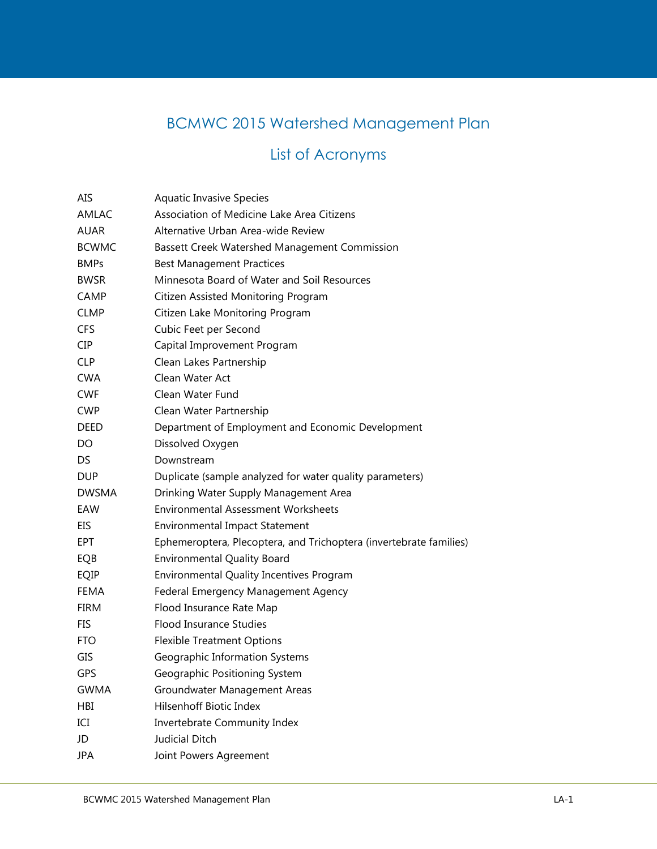## BCMWC 2015 Watershed Management Plan

## List of Acronyms

| AIS          | <b>Aquatic Invasive Species</b>                                    |
|--------------|--------------------------------------------------------------------|
| AMLAC        | Association of Medicine Lake Area Citizens                         |
| <b>AUAR</b>  | Alternative Urban Area-wide Review                                 |
| <b>BCWMC</b> | Bassett Creek Watershed Management Commission                      |
| <b>BMPs</b>  | <b>Best Management Practices</b>                                   |
| <b>BWSR</b>  | Minnesota Board of Water and Soil Resources                        |
| CAMP         | Citizen Assisted Monitoring Program                                |
| <b>CLMP</b>  | Citizen Lake Monitoring Program                                    |
| <b>CFS</b>   | Cubic Feet per Second                                              |
| <b>CIP</b>   | Capital Improvement Program                                        |
| <b>CLP</b>   | Clean Lakes Partnership                                            |
| <b>CWA</b>   | Clean Water Act                                                    |
| <b>CWF</b>   | Clean Water Fund                                                   |
| <b>CWP</b>   | Clean Water Partnership                                            |
| <b>DEED</b>  | Department of Employment and Economic Development                  |
| DO           | Dissolved Oxygen                                                   |
| DS           | Downstream                                                         |
| <b>DUP</b>   | Duplicate (sample analyzed for water quality parameters)           |
| <b>DWSMA</b> | Drinking Water Supply Management Area                              |
| EAW          | <b>Environmental Assessment Worksheets</b>                         |
| EIS          | <b>Environmental Impact Statement</b>                              |
| <b>EPT</b>   | Ephemeroptera, Plecoptera, and Trichoptera (invertebrate families) |
| EQB          | <b>Environmental Quality Board</b>                                 |
| <b>EQIP</b>  | Environmental Quality Incentives Program                           |
| <b>FEMA</b>  | Federal Emergency Management Agency                                |
| <b>FIRM</b>  | Flood Insurance Rate Map                                           |
| FIS          | <b>Flood Insurance Studies</b>                                     |
| <b>FTO</b>   | <b>Flexible Treatment Options</b>                                  |
| GIS          | Geographic Information Systems                                     |
| <b>GPS</b>   | Geographic Positioning System                                      |
| <b>GWMA</b>  | Groundwater Management Areas                                       |
| HBI          | <b>Hilsenhoff Biotic Index</b>                                     |
| ICI          | Invertebrate Community Index                                       |
| JD           | Judicial Ditch                                                     |
| JPA          | Joint Powers Agreement                                             |
|              |                                                                    |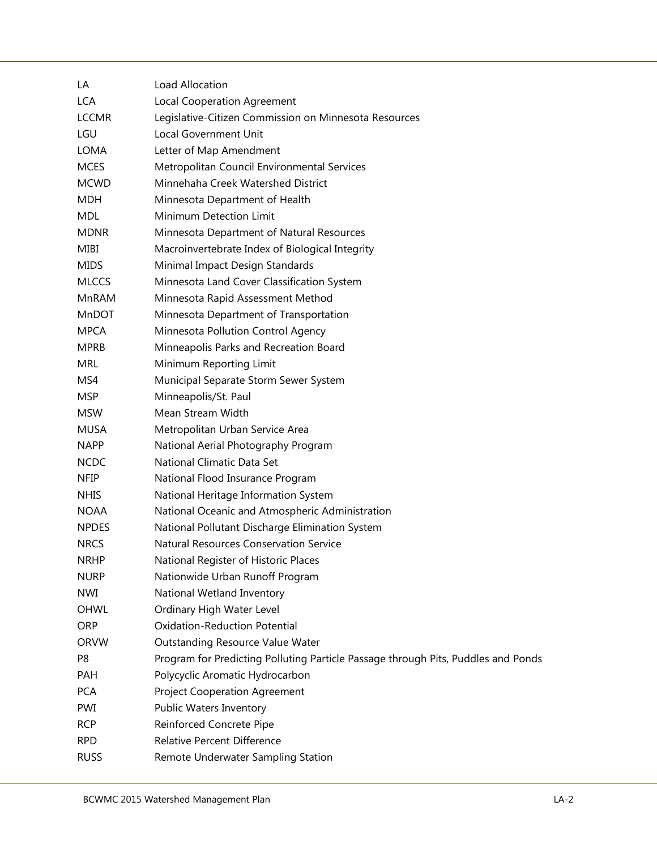| LA           | Load Allocation                                                                   |
|--------------|-----------------------------------------------------------------------------------|
| LCA          | <b>Local Cooperation Agreement</b>                                                |
| <b>LCCMR</b> | Legislative-Citizen Commission on Minnesota Resources                             |
| LGU          | <b>Local Government Unit</b>                                                      |
| <b>LOMA</b>  | Letter of Map Amendment                                                           |
| <b>MCES</b>  | Metropolitan Council Environmental Services                                       |
| <b>MCWD</b>  | Minnehaha Creek Watershed District                                                |
| <b>MDH</b>   | Minnesota Department of Health                                                    |
| <b>MDL</b>   | Minimum Detection Limit                                                           |
| <b>MDNR</b>  | Minnesota Department of Natural Resources                                         |
| MIBI         | Macroinvertebrate Index of Biological Integrity                                   |
| <b>MIDS</b>  | Minimal Impact Design Standards                                                   |
| <b>MLCCS</b> | Minnesota Land Cover Classification System                                        |
| MnRAM        | Minnesota Rapid Assessment Method                                                 |
| MnDOT        | Minnesota Department of Transportation                                            |
| <b>MPCA</b>  | Minnesota Pollution Control Agency                                                |
| <b>MPRB</b>  | Minneapolis Parks and Recreation Board                                            |
| <b>MRL</b>   | Minimum Reporting Limit                                                           |
| MS4          | Municipal Separate Storm Sewer System                                             |
| <b>MSP</b>   | Minneapolis/St. Paul                                                              |
| <b>MSW</b>   | Mean Stream Width                                                                 |
| MUSA         | Metropolitan Urban Service Area                                                   |
| <b>NAPP</b>  | National Aerial Photography Program                                               |
| <b>NCDC</b>  | National Climatic Data Set                                                        |
| <b>NFIP</b>  | National Flood Insurance Program                                                  |
| <b>NHIS</b>  | National Heritage Information System                                              |
| <b>NOAA</b>  | National Oceanic and Atmospheric Administration                                   |
| <b>NPDES</b> | National Pollutant Discharge Elimination System                                   |
| <b>NRCS</b>  | Natural Resources Conservation Service                                            |
| <b>NRHP</b>  | National Register of Historic Places                                              |
| <b>NURP</b>  | Nationwide Urban Runoff Program                                                   |
| <b>NWI</b>   | National Wetland Inventory                                                        |
| <b>OHWL</b>  | Ordinary High Water Level                                                         |
| <b>ORP</b>   | <b>Oxidation-Reduction Potential</b>                                              |
| <b>ORVW</b>  | Outstanding Resource Value Water                                                  |
| P8           | Program for Predicting Polluting Particle Passage through Pits, Puddles and Ponds |
| <b>PAH</b>   | Polycyclic Aromatic Hydrocarbon                                                   |
| <b>PCA</b>   | <b>Project Cooperation Agreement</b>                                              |
| <b>PWI</b>   | Public Waters Inventory                                                           |
| <b>RCP</b>   | Reinforced Concrete Pipe                                                          |
| <b>RPD</b>   | <b>Relative Percent Difference</b>                                                |
| <b>RUSS</b>  | Remote Underwater Sampling Station                                                |